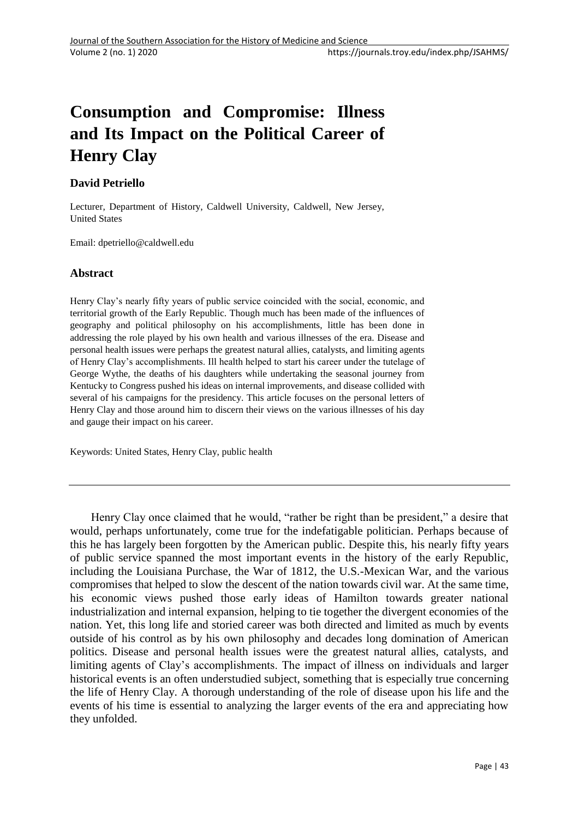# **Consumption and Compromise: Illness and Its Impact on the Political Career of Henry Clay**

## **David Petriello**

Lecturer, Department of History, Caldwell University, Caldwell, New Jersey, United States

Email: dpetriello@caldwell.edu

### **Abstract**

Henry Clay's nearly fifty years of public service coincided with the social, economic, and territorial growth of the Early Republic. Though much has been made of the influences of geography and political philosophy on his accomplishments, little has been done in addressing the role played by his own health and various illnesses of the era. Disease and personal health issues were perhaps the greatest natural allies, catalysts, and limiting agents of Henry Clay's accomplishments. Ill health helped to start his career under the tutelage of George Wythe, the deaths of his daughters while undertaking the seasonal journey from Kentucky to Congress pushed his ideas on internal improvements, and disease collided with several of his campaigns for the presidency. This article focuses on the personal letters of Henry Clay and those around him to discern their views on the various illnesses of his day and gauge their impact on his career.

Keywords: United States, Henry Clay, public health

Henry Clay once claimed that he would, "rather be right than be president," a desire that would, perhaps unfortunately, come true for the indefatigable politician. Perhaps because of this he has largely been forgotten by the American public. Despite this, his nearly fifty years of public service spanned the most important events in the history of the early Republic, including the Louisiana Purchase, the War of 1812, the U.S.-Mexican War, and the various compromises that helped to slow the descent of the nation towards civil war. At the same time, his economic views pushed those early ideas of Hamilton towards greater national industrialization and internal expansion, helping to tie together the divergent economies of the nation. Yet, this long life and storied career was both directed and limited as much by events outside of his control as by his own philosophy and decades long domination of American politics. Disease and personal health issues were the greatest natural allies, catalysts, and limiting agents of Clay's accomplishments. The impact of illness on individuals and larger historical events is an often understudied subject, something that is especially true concerning the life of Henry Clay. A thorough understanding of the role of disease upon his life and the events of his time is essential to analyzing the larger events of the era and appreciating how they unfolded.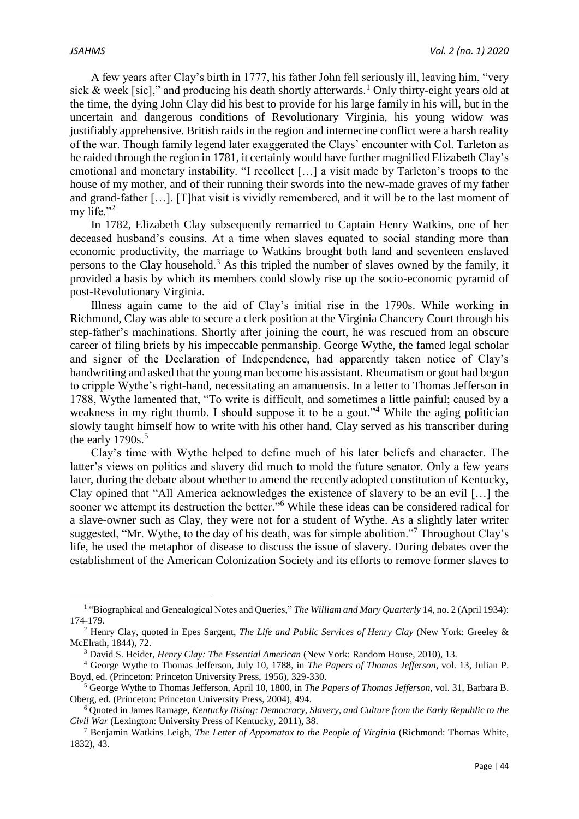A few years after Clay's birth in 1777, his father John fell seriously ill, leaving him, "very sick & week [sic]," and producing his death shortly afterwards.<sup>1</sup> Only thirty-eight years old at the time, the dying John Clay did his best to provide for his large family in his will, but in the uncertain and dangerous conditions of Revolutionary Virginia, his young widow was justifiably apprehensive. British raids in the region and internecine conflict were a harsh reality of the war. Though family legend later exaggerated the Clays' encounter with Col. Tarleton as he raided through the region in 1781, it certainly would have further magnified Elizabeth Clay's emotional and monetary instability. "I recollect […] a visit made by Tarleton's troops to the house of my mother, and of their running their swords into the new-made graves of my father and grand-father […]. [T]hat visit is vividly remembered, and it will be to the last moment of my life."<sup>2</sup>

In 1782, Elizabeth Clay subsequently remarried to Captain Henry Watkins, one of her deceased husband's cousins. At a time when slaves equated to social standing more than economic productivity, the marriage to Watkins brought both land and seventeen enslaved persons to the Clay household.<sup>3</sup> As this tripled the number of slaves owned by the family, it provided a basis by which its members could slowly rise up the socio-economic pyramid of post-Revolutionary Virginia.

Illness again came to the aid of Clay's initial rise in the 1790s. While working in Richmond, Clay was able to secure a clerk position at the Virginia Chancery Court through his step-father's machinations. Shortly after joining the court, he was rescued from an obscure career of filing briefs by his impeccable penmanship. George Wythe, the famed legal scholar and signer of the Declaration of Independence, had apparently taken notice of Clay's handwriting and asked that the young man become his assistant. Rheumatism or gout had begun to cripple Wythe's right-hand, necessitating an amanuensis. In a letter to Thomas Jefferson in 1788, Wythe lamented that, "To write is difficult, and sometimes a little painful; caused by a weakness in my right thumb. I should suppose it to be a gout.<sup>44</sup> While the aging politician slowly taught himself how to write with his other hand, Clay served as his transcriber during the early  $1790s$ <sup>5</sup>

Clay's time with Wythe helped to define much of his later beliefs and character. The latter's views on politics and slavery did much to mold the future senator. Only a few years later, during the debate about whether to amend the recently adopted constitution of Kentucky, Clay opined that "All America acknowledges the existence of slavery to be an evil […] the sooner we attempt its destruction the better."<sup>6</sup> While these ideas can be considered radical for a slave-owner such as Clay, they were not for a student of Wythe. As a slightly later writer suggested, "Mr. Wythe, to the day of his death, was for simple abolition."<sup>7</sup> Throughout Clay's life, he used the metaphor of disease to discuss the issue of slavery. During debates over the establishment of the American Colonization Society and its efforts to remove former slaves to

<sup>&</sup>lt;sup>1</sup> "Biographical and Genealogical Notes and Queries," *The William and Mary Quarterly* 14, no. 2 (April 1934): 174-179.

<sup>2</sup> Henry Clay, quoted in Epes Sargent, *The Life and Public Services of Henry Clay* (New York: Greeley & McElrath, 1844), 72.

<sup>3</sup> David S. Heider, *Henry Clay: The Essential American* (New York: Random House, 2010), 13.

<sup>4</sup> George Wythe to Thomas Jefferson, July 10, 1788, in *The Papers of Thomas Jefferson*, vol. 13, Julian P. Boyd, ed. (Princeton: Princeton University Press, 1956), 329-330.

<sup>5</sup> George Wythe to Thomas Jefferson, April 10, 1800, in *The Papers of Thomas Jefferson*, vol. 31, Barbara B. Oberg, ed. (Princeton: Princeton University Press, 2004), 494.

<sup>6</sup> Quoted in James Ramage, *Kentucky Rising: Democracy, Slavery, and Culture from the Early Republic to the Civil War* (Lexington: University Press of Kentucky, 2011), 38.

<sup>7</sup> Benjamin Watkins Leigh, *The Letter of Appomatox to the People of Virginia* (Richmond: Thomas White, 1832), 43.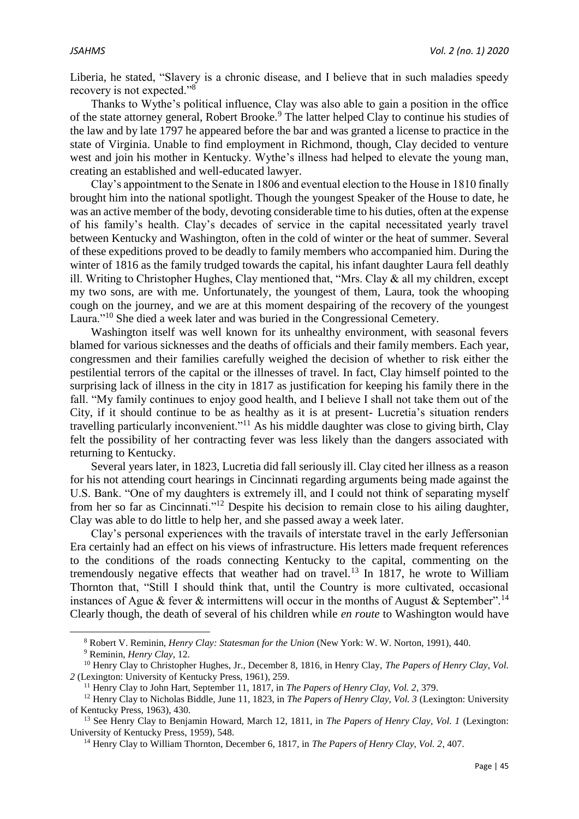Liberia, he stated, "Slavery is a chronic disease, and I believe that in such maladies speedy recovery is not expected."<sup>8</sup>

Thanks to Wythe's political influence, Clay was also able to gain a position in the office of the state attorney general, Robert Brooke.<sup>9</sup> The latter helped Clay to continue his studies of the law and by late 1797 he appeared before the bar and was granted a license to practice in the state of Virginia. Unable to find employment in Richmond, though, Clay decided to venture west and join his mother in Kentucky. Wythe's illness had helped to elevate the young man, creating an established and well-educated lawyer.

Clay's appointment to the Senate in 1806 and eventual election to the House in 1810 finally brought him into the national spotlight. Though the youngest Speaker of the House to date, he was an active member of the body, devoting considerable time to his duties, often at the expense of his family's health. Clay's decades of service in the capital necessitated yearly travel between Kentucky and Washington, often in the cold of winter or the heat of summer. Several of these expeditions proved to be deadly to family members who accompanied him. During the winter of 1816 as the family trudged towards the capital, his infant daughter Laura fell deathly ill. Writing to Christopher Hughes, Clay mentioned that, "Mrs. Clay & all my children, except my two sons, are with me. Unfortunately, the youngest of them, Laura, took the whooping cough on the journey, and we are at this moment despairing of the recovery of the youngest Laura."<sup>10</sup> She died a week later and was buried in the Congressional Cemetery.

Washington itself was well known for its unhealthy environment, with seasonal fevers blamed for various sicknesses and the deaths of officials and their family members. Each year, congressmen and their families carefully weighed the decision of whether to risk either the pestilential terrors of the capital or the illnesses of travel. In fact, Clay himself pointed to the surprising lack of illness in the city in 1817 as justification for keeping his family there in the fall. "My family continues to enjoy good health, and I believe I shall not take them out of the City, if it should continue to be as healthy as it is at present- Lucretia's situation renders travelling particularly inconvenient."<sup>11</sup> As his middle daughter was close to giving birth, Clay felt the possibility of her contracting fever was less likely than the dangers associated with returning to Kentucky.

Several years later, in 1823, Lucretia did fall seriously ill. Clay cited her illness as a reason for his not attending court hearings in Cincinnati regarding arguments being made against the U.S. Bank. "One of my daughters is extremely ill, and I could not think of separating myself from her so far as Cincinnati."<sup>12</sup> Despite his decision to remain close to his ailing daughter, Clay was able to do little to help her, and she passed away a week later.

Clay's personal experiences with the travails of interstate travel in the early Jeffersonian Era certainly had an effect on his views of infrastructure. His letters made frequent references to the conditions of the roads connecting Kentucky to the capital, commenting on the tremendously negative effects that weather had on travel.<sup>13</sup> In 1817, he wrote to William Thornton that, "Still I should think that, until the Country is more cultivated, occasional instances of Ague & fever & intermittens will occur in the months of August & September".<sup>14</sup> Clearly though, the death of several of his children while *en route* to Washington would have

<sup>8</sup> Robert V. Reminin, *Henry Clay: Statesman for the Union* (New York: W. W. Norton, 1991), 440.

**.** 

<sup>9</sup> Reminin, *Henry Clay*, 12.

<sup>&</sup>lt;sup>10</sup> Henry Clay to Christopher Hughes, Jr., December 8, 1816, in Henry Clay, *The Papers of Henry Clay, Vol. 2* (Lexington: University of Kentucky Press, 1961), 259.

<sup>11</sup> Henry Clay to John Hart, September 11, 1817, in *The Papers of Henry Clay, Vol. 2*, 379.

<sup>12</sup> Henry Clay to Nicholas Biddle, June 11, 1823, in *The Papers of Henry Clay, Vol. 3* (Lexington: University of Kentucky Press, 1963), 430.

<sup>13</sup> See Henry Clay to Benjamin Howard, March 12, 1811, in *The Papers of Henry Clay, Vol. 1* (Lexington: University of Kentucky Press, 1959), 548.

<sup>14</sup> Henry Clay to William Thornton, December 6, 1817, in *The Papers of Henry Clay, Vol. 2*, 407.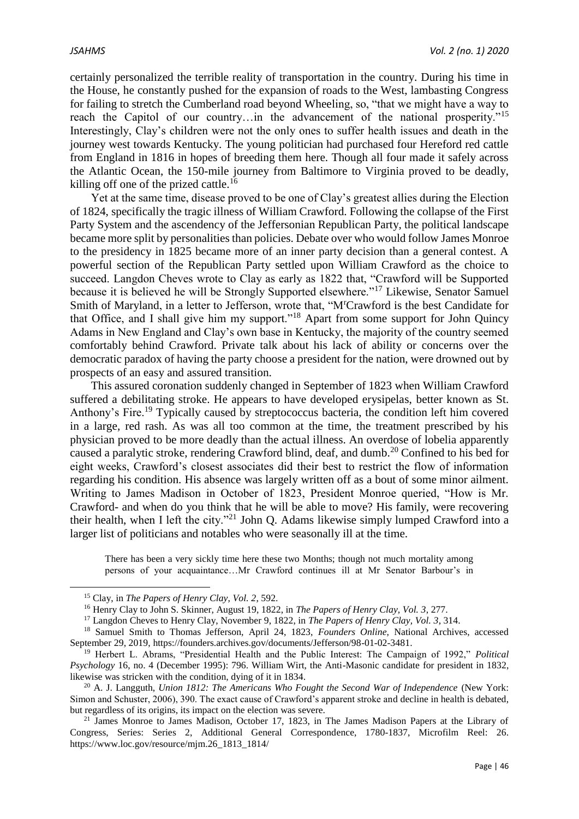certainly personalized the terrible reality of transportation in the country. During his time in the House, he constantly pushed for the expansion of roads to the West, lambasting Congress for failing to stretch the Cumberland road beyond Wheeling, so, "that we might have a way to reach the Capitol of our country...in the advancement of the national prosperity."<sup>15</sup> Interestingly, Clay's children were not the only ones to suffer health issues and death in the journey west towards Kentucky. The young politician had purchased four Hereford red cattle from England in 1816 in hopes of breeding them here. Though all four made it safely across the Atlantic Ocean, the 150-mile journey from Baltimore to Virginia proved to be deadly, killing off one of the prized cattle.<sup>16</sup>

Yet at the same time, disease proved to be one of Clay's greatest allies during the Election of 1824, specifically the tragic illness of William Crawford. Following the collapse of the First Party System and the ascendency of the Jeffersonian Republican Party, the political landscape became more split by personalities than policies. Debate over who would follow James Monroe to the presidency in 1825 became more of an inner party decision than a general contest. A powerful section of the Republican Party settled upon William Crawford as the choice to succeed. Langdon Cheves wrote to Clay as early as 1822 that, "Crawford will be Supported because it is believed he will be Strongly Supported elsewhere."<sup>17</sup> Likewise, Senator Samuel Smith of Maryland, in a letter to Jefferson, wrote that, "M<sup>r</sup>Crawford is the best Candidate for that Office, and I shall give him my support."<sup>18</sup> Apart from some support for John Ouincy Adams in New England and Clay's own base in Kentucky, the majority of the country seemed comfortably behind Crawford. Private talk about his lack of ability or concerns over the democratic paradox of having the party choose a president for the nation, were drowned out by prospects of an easy and assured transition.

This assured coronation suddenly changed in September of 1823 when William Crawford suffered a debilitating stroke. He appears to have developed erysipelas, better known as St. Anthony's Fire.<sup>19</sup> Typically caused by streptococcus bacteria, the condition left him covered in a large, red rash. As was all too common at the time, the treatment prescribed by his physician proved to be more deadly than the actual illness. An overdose of lobelia apparently caused a paralytic stroke, rendering Crawford blind, deaf, and dumb.<sup>20</sup> Confined to his bed for eight weeks, Crawford's closest associates did their best to restrict the flow of information regarding his condition. His absence was largely written off as a bout of some minor ailment. Writing to James Madison in October of 1823, President Monroe queried, "How is Mr. Crawford- and when do you think that he will be able to move? His family, were recovering their health, when I left the city."<sup>21</sup> John Q. Adams likewise simply lumped Crawford into a larger list of politicians and notables who were seasonally ill at the time.

There has been a very sickly time here these two Months; though not much mortality among persons of your acquaintance…Mr Crawford continues ill at Mr Senator Barbour's in

**.** 

<sup>15</sup> Clay, in *The Papers of Henry Clay, Vol. 2*, 592.

<sup>16</sup> Henry Clay to John S. Skinner, August 19, 1822, in *The Papers of Henry Clay, Vol. 3*, 277.

<sup>17</sup> Langdon Cheves to Henry Clay, November 9, 1822, in *The Papers of Henry Clay, Vol. 3*, 314.

<sup>18</sup> Samuel Smith to Thomas Jefferson, April 24, 1823, *Founders Online,* National Archives, accessed September 29, 2019, https://founders.archives.gov/documents/Jefferson/98-01-02-3481.

<sup>19</sup> Herbert L. Abrams, "Presidential Health and the Public Interest: The Campaign of 1992," *Political Psychology* 16, no. 4 (December 1995): 796. William Wirt, the Anti-Masonic candidate for president in 1832, likewise was stricken with the condition, dying of it in 1834.

<sup>&</sup>lt;sup>20</sup> A. J. Langguth, *Union 1812: The Americans Who Fought the Second War of Independence* (New York: Simon and Schuster, 2006), 390. The exact cause of Crawford's apparent stroke and decline in health is debated, but regardless of its origins, its impact on the election was severe.

<sup>&</sup>lt;sup>21</sup> James Monroe to James Madison, October 17, 1823, in The James Madison Papers at the Library of Congress, Series: Series 2, Additional General Correspondence, 1780-1837, Microfilm Reel: 26. https://www.loc.gov/resource/mjm.26\_1813\_1814/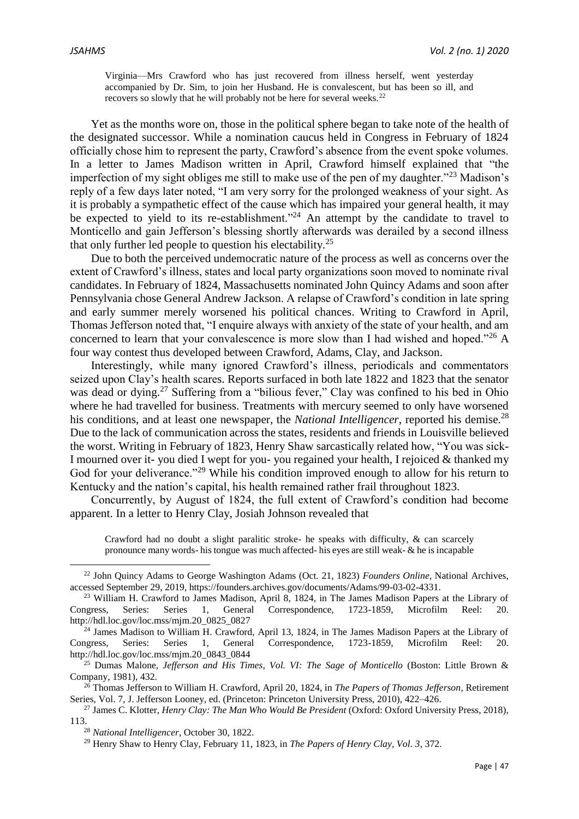Virginia—Mrs Crawford who has just recovered from illness herself, went yesterday accompanied by Dr. Sim, to join her Husband. He is convalescent, but has been so ill, and recovers so slowly that he will probably not be here for several weeks.<sup>22</sup>

Yet as the months wore on, those in the political sphere began to take note of the health of the designated successor. While a nomination caucus held in Congress in February of 1824 officially chose him to represent the party, Crawford's absence from the event spoke volumes. In a letter to James Madison written in April, Crawford himself explained that "the imperfection of my sight obliges me still to make use of the pen of my daughter.<sup> $23$ </sup> Madison's reply of a few days later noted, "I am very sorry for the prolonged weakness of your sight. As it is probably a sympathetic effect of the cause which has impaired your general health, it may be expected to yield to its re-establishment."<sup>24</sup> An attempt by the candidate to travel to Monticello and gain Jefferson's blessing shortly afterwards was derailed by a second illness that only further led people to question his electability.<sup>25</sup>

Due to both the perceived undemocratic nature of the process as well as concerns over the extent of Crawford's illness, states and local party organizations soon moved to nominate rival candidates. In February of 1824, Massachusetts nominated John Quincy Adams and soon after Pennsylvania chose General Andrew Jackson. A relapse of Crawford's condition in late spring and early summer merely worsened his political chances. Writing to Crawford in April, Thomas Jefferson noted that, "I enquire always with anxiety of the state of your health, and am concerned to learn that your convalescence is more slow than I had wished and hoped."<sup>26</sup> A four way contest thus developed between Crawford, Adams, Clay, and Jackson.

Interestingly, while many ignored Crawford's illness, periodicals and commentators seized upon Clay's health scares. Reports surfaced in both late 1822 and 1823 that the senator was dead or dying.<sup>27</sup> Suffering from a "bilious fever," Clay was confined to his bed in Ohio where he had travelled for business. Treatments with mercury seemed to only have worsened his conditions, and at least one newspaper, the *National Intelligencer*, reported his demise.<sup>28</sup> Due to the lack of communication across the states, residents and friends in Louisville believed the worst. Writing in February of 1823, Henry Shaw sarcastically related how, "You was sick-I mourned over it- you died I wept for you- you regained your health, I rejoiced & thanked my God for your deliverance."<sup>29</sup> While his condition improved enough to allow for his return to Kentucky and the nation's capital, his health remained rather frail throughout 1823.

Concurrently, by August of 1824, the full extent of Crawford's condition had become apparent. In a letter to Henry Clay, Josiah Johnson revealed that

Crawford had no doubt a slight paralitic stroke- he speaks with difficulty, & can scarcely pronounce many words- his tongue was much affected- his eyes are still weak- & he is incapable

<sup>22</sup> John Quincy Adams to George Washington Adams (Oct. 21, 1823) *Founders Online,* National Archives, accessed September 29, 2019, https://founders.archives.gov/documents/Adams/99-03-02-4331.

<sup>&</sup>lt;sup>23</sup> William H. Crawford to James Madison, April 8, 1824, in The James Madison Papers at the Library of Congress, Series: Series 1, General Correspondence, 1723-1859, Microfilm Reel: 20. http://hdl.loc.gov/loc.mss/mjm.20\_0825\_0827

<sup>&</sup>lt;sup>24</sup> James Madison to William H. Crawford, April 13, 1824, in The James Madison Papers at the Library of Congress, Series: Series 1, General Correspondence, 1723-1859, Microfilm Reel: 20. http://hdl.loc.gov/loc.mss/mjm.20\_0843\_0844

<sup>25</sup> Dumas Malone, *Jefferson and His Times, Vol. VI: The Sage of Monticello* (Boston: Little Brown & Company, 1981), 432.

<sup>26</sup> Thomas Jefferson to William H. Crawford, April 20, 1824, in *The Papers of Thomas Jefferson*, Retirement Series, Vol. 7, J. Jefferson Looney, ed. (Princeton: Princeton University Press, 2010), 422–426.

<sup>27</sup> James C. Klotter, *Henry Clay: The Man Who Would Be President* (Oxford: Oxford University Press, 2018), 113.

<sup>28</sup> *National Intelligencer*, October 30, 1822.

<sup>29</sup> Henry Shaw to Henry Clay, February 11, 1823, in *The Papers of Henry Clay, Vol. 3*, 372.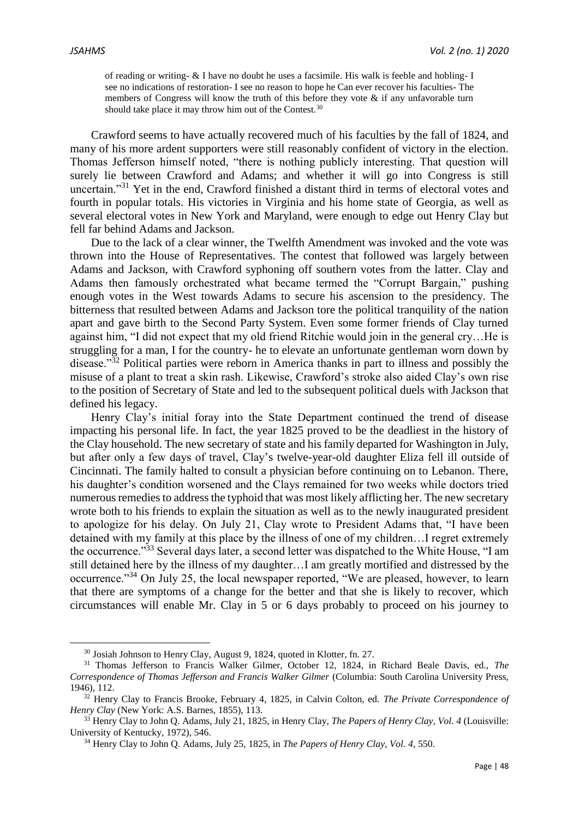$\overline{\phantom{a}}$ 

of reading or writing- & I have no doubt he uses a facsimile. His walk is feeble and hobling- I see no indications of restoration- I see no reason to hope he Can ever recover his faculties- The members of Congress will know the truth of this before they vote  $\&$  if any unfavorable turn should take place it may throw him out of the Contest.<sup>30</sup>

Crawford seems to have actually recovered much of his faculties by the fall of 1824, and many of his more ardent supporters were still reasonably confident of victory in the election. Thomas Jefferson himself noted, "there is nothing publicly interesting. That question will surely lie between Crawford and Adams; and whether it will go into Congress is still uncertain."<sup>31</sup> Yet in the end, Crawford finished a distant third in terms of electoral votes and fourth in popular totals. His victories in Virginia and his home state of Georgia, as well as several electoral votes in New York and Maryland, were enough to edge out Henry Clay but fell far behind Adams and Jackson.

Due to the lack of a clear winner, the Twelfth Amendment was invoked and the vote was thrown into the House of Representatives. The contest that followed was largely between Adams and Jackson, with Crawford syphoning off southern votes from the latter. Clay and Adams then famously orchestrated what became termed the "Corrupt Bargain," pushing enough votes in the West towards Adams to secure his ascension to the presidency. The bitterness that resulted between Adams and Jackson tore the political tranquility of the nation apart and gave birth to the Second Party System. Even some former friends of Clay turned against him, "I did not expect that my old friend Ritchie would join in the general cry…He is struggling for a man, I for the country- he to elevate an unfortunate gentleman worn down by disease."<sup>32</sup> Political parties were reborn in America thanks in part to illness and possibly the misuse of a plant to treat a skin rash. Likewise, Crawford's stroke also aided Clay's own rise to the position of Secretary of State and led to the subsequent political duels with Jackson that defined his legacy.

Henry Clay's initial foray into the State Department continued the trend of disease impacting his personal life. In fact, the year 1825 proved to be the deadliest in the history of the Clay household. The new secretary of state and his family departed for Washington in July, but after only a few days of travel, Clay's twelve-year-old daughter Eliza fell ill outside of Cincinnati. The family halted to consult a physician before continuing on to Lebanon. There, his daughter's condition worsened and the Clays remained for two weeks while doctors tried numerous remedies to address the typhoid that was most likely afflicting her. The new secretary wrote both to his friends to explain the situation as well as to the newly inaugurated president to apologize for his delay. On July 21, Clay wrote to President Adams that, "I have been detained with my family at this place by the illness of one of my children…I regret extremely the occurrence."<sup>33</sup> Several days later, a second letter was dispatched to the White House, "I am still detained here by the illness of my daughter…I am greatly mortified and distressed by the occurrence."<sup>34</sup> On July 25, the local newspaper reported, "We are pleased, however, to learn that there are symptoms of a change for the better and that she is likely to recover, which circumstances will enable Mr. Clay in 5 or 6 days probably to proceed on his journey to

<sup>30</sup> Josiah Johnson to Henry Clay, August 9, 1824, quoted in Klotter, fn. 27.

<sup>31</sup> Thomas Jefferson to Francis Walker Gilmer, October 12, 1824, in Richard Beale Davis, ed., *The Correspondence of Thomas Jefferson and Francis Walker Gilmer* (Columbia: South Carolina University Press, 1946), 112.

<sup>32</sup> Henry Clay to Francis Brooke, February 4, 1825, in Calvin Colton, ed. *The Private Correspondence of Henry Clay* (New York: A.S. Barnes, 1855), 113.

<sup>33</sup> Henry Clay to John Q. Adams, July 21, 1825, in Henry Clay, *The Papers of Henry Clay, Vol. 4* (Louisville: University of Kentucky, 1972), 546.

<sup>34</sup> Henry Clay to John Q. Adams, July 25, 1825, in *The Papers of Henry Clay, Vol. 4*, 550.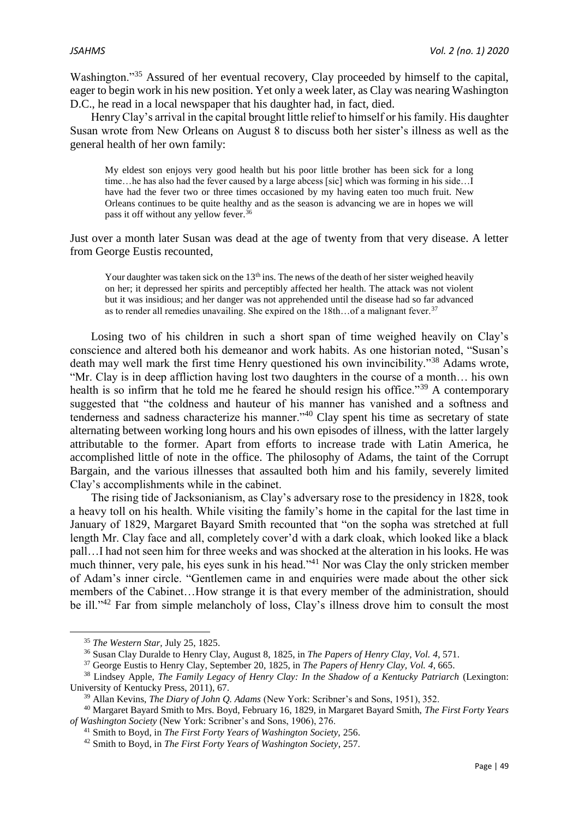Washington."<sup>35</sup> Assured of her eventual recovery, Clay proceeded by himself to the capital, eager to begin work in his new position. Yet only a week later, as Clay was nearing Washington D.C., he read in a local newspaper that his daughter had, in fact, died.

Henry Clay's arrival in the capital brought little relief to himself or his family. His daughter Susan wrote from New Orleans on August 8 to discuss both her sister's illness as well as the general health of her own family:

My eldest son enjoys very good health but his poor little brother has been sick for a long time…he has also had the fever caused by a large abcess [sic] which was forming in his side…I have had the fever two or three times occasioned by my having eaten too much fruit. New Orleans continues to be quite healthy and as the season is advancing we are in hopes we will pass it off without any yellow fever.<sup>36</sup>

Just over a month later Susan was dead at the age of twenty from that very disease. A letter from George Eustis recounted,

Your daughter was taken sick on the  $13<sup>th</sup>$  ins. The news of the death of her sister weighed heavily on her; it depressed her spirits and perceptibly affected her health. The attack was not violent but it was insidious; and her danger was not apprehended until the disease had so far advanced as to render all remedies unavailing. She expired on the 18th...of a malignant fever.<sup>37</sup>

Losing two of his children in such a short span of time weighed heavily on Clay's conscience and altered both his demeanor and work habits. As one historian noted, "Susan's death may well mark the first time Henry questioned his own invincibility."<sup>38</sup> Adams wrote, "Mr. Clay is in deep affliction having lost two daughters in the course of a month… his own health is so infirm that he told me he feared he should resign his office."<sup>39</sup> A contemporary suggested that "the coldness and hauteur of his manner has vanished and a softness and tenderness and sadness characterize his manner."<sup>40</sup> Clay spent his time as secretary of state alternating between working long hours and his own episodes of illness, with the latter largely attributable to the former. Apart from efforts to increase trade with Latin America, he accomplished little of note in the office. The philosophy of Adams, the taint of the Corrupt Bargain, and the various illnesses that assaulted both him and his family, severely limited Clay's accomplishments while in the cabinet.

The rising tide of Jacksonianism, as Clay's adversary rose to the presidency in 1828, took a heavy toll on his health. While visiting the family's home in the capital for the last time in January of 1829, Margaret Bayard Smith recounted that "on the sopha was stretched at full length Mr. Clay face and all, completely cover'd with a dark cloak, which looked like a black pall…I had not seen him for three weeks and was shocked at the alteration in his looks. He was much thinner, very pale, his eyes sunk in his head."<sup>41</sup> Nor was Clay the only stricken member of Adam's inner circle. "Gentlemen came in and enquiries were made about the other sick members of the Cabinet…How strange it is that every member of the administration, should be ill."<sup>42</sup> Far from simple melancholy of loss, Clay's illness drove him to consult the most

**.** 

<sup>35</sup> *The Western Star,* July 25, 1825.

<sup>36</sup> Susan Clay Duralde to Henry Clay, August 8, 1825, in *The Papers of Henry Clay, Vol. 4*, 571.

<sup>37</sup> George Eustis to Henry Clay, September 20, 1825, in *The Papers of Henry Clay, Vol. 4*, 665.

<sup>&</sup>lt;sup>38</sup> Lindsey Apple, *The Family Legacy of Henry Clay: In the Shadow of a Kentucky Patriarch* (Lexington: University of Kentucky Press, 2011), 67.

<sup>39</sup> Allan Kevins, *The Diary of John Q. Adams* (New York: Scribner's and Sons, 1951), 352.

<sup>40</sup> Margaret Bayard Smith to Mrs. Boyd, February 16, 1829, in Margaret Bayard Smith, *The First Forty Years of Washington Society* (New York: Scribner's and Sons, 1906), 276.

<sup>41</sup> Smith to Boyd, in *The First Forty Years of Washington Society,* 256.

<sup>42</sup> Smith to Boyd, in *The First Forty Years of Washington Society*, 257.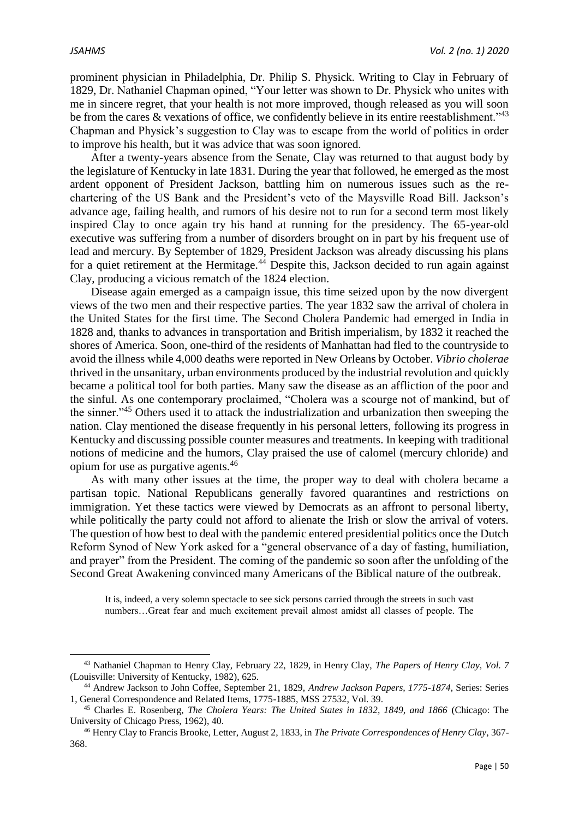1

prominent physician in Philadelphia, Dr. Philip S. Physick. Writing to Clay in February of 1829, Dr. Nathaniel Chapman opined, "Your letter was shown to Dr. Physick who unites with me in sincere regret, that your health is not more improved, though released as you will soon be from the cares  $\&$  vexations of office, we confidently believe in its entire reestablishment."<sup>43</sup> Chapman and Physick's suggestion to Clay was to escape from the world of politics in order to improve his health, but it was advice that was soon ignored.

After a twenty-years absence from the Senate, Clay was returned to that august body by the legislature of Kentucky in late 1831. During the year that followed, he emerged as the most ardent opponent of President Jackson, battling him on numerous issues such as the rechartering of the US Bank and the President's veto of the Maysville Road Bill. Jackson's advance age, failing health, and rumors of his desire not to run for a second term most likely inspired Clay to once again try his hand at running for the presidency. The 65-year-old executive was suffering from a number of disorders brought on in part by his frequent use of lead and mercury. By September of 1829, President Jackson was already discussing his plans for a quiet retirement at the Hermitage.<sup>44</sup> Despite this, Jackson decided to run again against Clay, producing a vicious rematch of the 1824 election.

Disease again emerged as a campaign issue, this time seized upon by the now divergent views of the two men and their respective parties. The year 1832 saw the arrival of cholera in the United States for the first time. The Second Cholera Pandemic had emerged in India in 1828 and, thanks to advances in transportation and British imperialism, by 1832 it reached the shores of America. Soon, one-third of the residents of Manhattan had fled to the countryside to avoid the illness while 4,000 deaths were reported in New Orleans by October. *Vibrio cholerae* thrived in the unsanitary, urban environments produced by the industrial revolution and quickly became a political tool for both parties. Many saw the disease as an affliction of the poor and the sinful. As one contemporary proclaimed, "Cholera was a scourge not of mankind, but of the sinner."<sup>45</sup> Others used it to attack the industrialization and urbanization then sweeping the nation. Clay mentioned the disease frequently in his personal letters, following its progress in Kentucky and discussing possible counter measures and treatments. In keeping with traditional notions of medicine and the humors, Clay praised the use of calomel (mercury chloride) and opium for use as purgative agents.<sup>46</sup>

As with many other issues at the time, the proper way to deal with cholera became a partisan topic. National Republicans generally favored quarantines and restrictions on immigration. Yet these tactics were viewed by Democrats as an affront to personal liberty, while politically the party could not afford to alienate the Irish or slow the arrival of voters. The question of how best to deal with the pandemic entered presidential politics once the Dutch Reform Synod of New York asked for a "general observance of a day of fasting, humiliation, and prayer" from the President. The coming of the pandemic so soon after the unfolding of the Second Great Awakening convinced many Americans of the Biblical nature of the outbreak.

It is, indeed, a very solemn spectacle to see sick persons carried through the streets in such vast numbers…Great fear and much excitement prevail almost amidst all classes of people. The

<sup>43</sup> Nathaniel Chapman to Henry Clay, February 22, 1829, in Henry Clay, *The Papers of Henry Clay, Vol. 7* (Louisville: University of Kentucky, 1982), 625.

<sup>44</sup> Andrew Jackson to John Coffee, September 21, 1829, *Andrew Jackson Papers, 1775-1874*, Series: Series 1, General Correspondence and Related Items, 1775-1885, MSS 27532, Vol. 39.

<sup>45</sup> Charles E. Rosenberg, *The Cholera Years: The United States in 1832, 1849, and 1866* (Chicago: The University of Chicago Press, 1962), 40.

<sup>46</sup> Henry Clay to Francis Brooke, Letter, August 2, 1833, in *The Private Correspondences of Henry Clay*, 367- 368.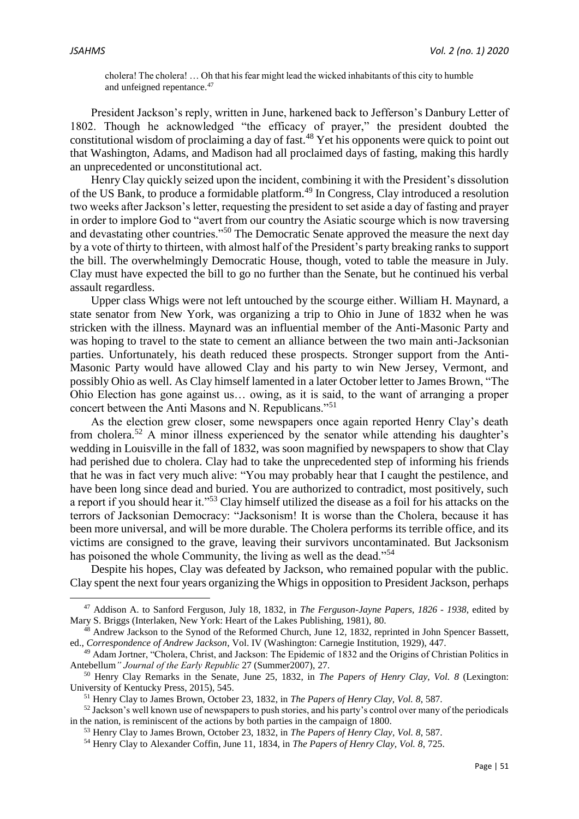cholera! The cholera! … Oh that his fear might lead the wicked inhabitants of this city to humble and unfeigned repentance.<sup>47</sup>

President Jackson's reply, written in June, harkened back to Jefferson's Danbury Letter of 1802. Though he acknowledged "the efficacy of prayer," the president doubted the constitutional wisdom of proclaiming a day of fast.<sup>48</sup> Yet his opponents were quick to point out that Washington, Adams, and Madison had all proclaimed days of fasting, making this hardly an unprecedented or unconstitutional act.

Henry Clay quickly seized upon the incident, combining it with the President's dissolution of the US Bank, to produce a formidable platform.<sup>49</sup> In Congress, Clay introduced a resolution two weeks after Jackson's letter, requesting the president to set aside a day of fasting and prayer in order to implore God to "avert from our country the Asiatic scourge which is now traversing and devastating other countries."<sup>50</sup> The Democratic Senate approved the measure the next day by a vote of thirty to thirteen, with almost half of the President's party breaking ranks to support the bill. The overwhelmingly Democratic House, though, voted to table the measure in July. Clay must have expected the bill to go no further than the Senate, but he continued his verbal assault regardless.

Upper class Whigs were not left untouched by the scourge either. William H. Maynard, a state senator from New York, was organizing a trip to Ohio in June of 1832 when he was stricken with the illness. Maynard was an influential member of the Anti-Masonic Party and was hoping to travel to the state to cement an alliance between the two main anti-Jacksonian parties. Unfortunately, his death reduced these prospects. Stronger support from the Anti-Masonic Party would have allowed Clay and his party to win New Jersey, Vermont, and possibly Ohio as well. As Clay himself lamented in a later October letter to James Brown, "The Ohio Election has gone against us… owing, as it is said, to the want of arranging a proper concert between the Anti Masons and N. Republicans."<sup>51</sup>

As the election grew closer, some newspapers once again reported Henry Clay's death from cholera.<sup>52</sup> A minor illness experienced by the senator while attending his daughter's wedding in Louisville in the fall of 1832, was soon magnified by newspapers to show that Clay had perished due to cholera. Clay had to take the unprecedented step of informing his friends that he was in fact very much alive: "You may probably hear that I caught the pestilence, and have been long since dead and buried. You are authorized to contradict, most positively, such a report if you should hear it."<sup>53</sup> Clay himself utilized the disease as a foil for his attacks on the terrors of Jacksonian Democracy: "Jacksonism! It is worse than the Cholera, because it has been more universal, and will be more durable. The Cholera performs its terrible office, and its victims are consigned to the grave, leaving their survivors uncontaminated. But Jacksonism has poisoned the whole Community, the living as well as the dead."<sup>54</sup>

Despite his hopes, Clay was defeated by Jackson, who remained popular with the public. Clay spent the next four years organizing the Whigs in opposition to President Jackson, perhaps

<sup>47</sup> Addison A. to Sanford Ferguson, July 18, 1832, in *The Ferguson-Jayne Papers, 1826 - 1938*, edited by Mary S. Briggs (Interlaken, New York: Heart of the Lakes Publishing, 1981), 80.

<sup>48</sup> Andrew Jackson to the Synod of the Reformed Church, June 12, 1832, reprinted in John Spencer Bassett, ed., *Correspondence of Andrew Jackson*, Vol. IV (Washington: Carnegie Institution, 1929), 447.

<sup>49</sup> Adam Jortner, "Cholera, Christ, and Jackson: The Epidemic of 1832 and the Origins of Christian Politics in Antebellum*" Journal of the Early Republic* 27 (Summer2007), 27.

<sup>50</sup> Henry Clay Remarks in the Senate, June 25, 1832, in *The Papers of Henry Clay, Vol. 8* (Lexington: University of Kentucky Press, 2015), 545.

<sup>51</sup> Henry Clay to James Brown, October 23, 1832, in *The Papers of Henry Clay, Vol. 8*, 587.

<sup>&</sup>lt;sup>52</sup> Jackson's well known use of newspapers to push stories, and his party's control over many of the periodicals in the nation, is reminiscent of the actions by both parties in the campaign of 1800.

<sup>53</sup> Henry Clay to James Brown, October 23, 1832, in *The Papers of Henry Clay, Vol. 8*, 587.

<sup>54</sup> Henry Clay to Alexander Coffin, June 11, 1834, in *The Papers of Henry Clay, Vol. 8*, 725.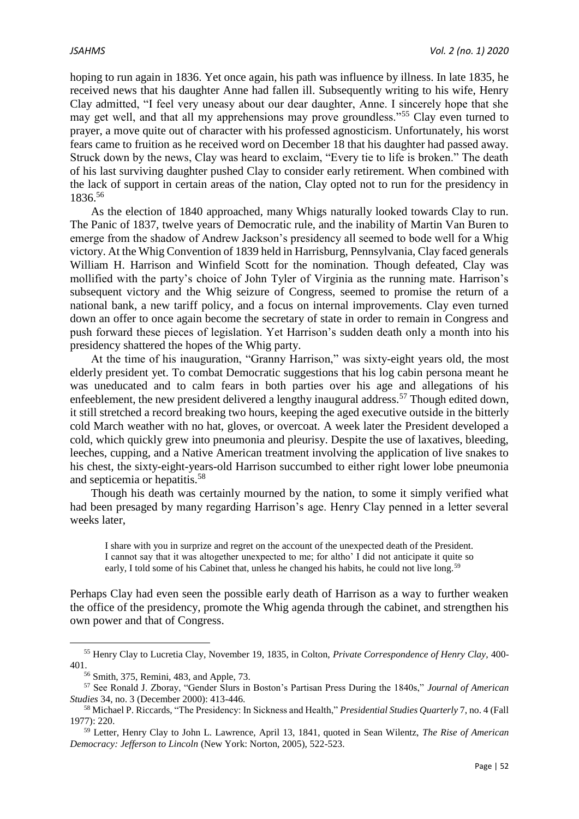hoping to run again in 1836. Yet once again, his path was influence by illness. In late 1835, he received news that his daughter Anne had fallen ill. Subsequently writing to his wife, Henry Clay admitted, "I feel very uneasy about our dear daughter, Anne. I sincerely hope that she may get well, and that all my apprehensions may prove groundless."<sup>55</sup> Clay even turned to prayer, a move quite out of character with his professed agnosticism. Unfortunately, his worst fears came to fruition as he received word on December 18 that his daughter had passed away. Struck down by the news, Clay was heard to exclaim, "Every tie to life is broken." The death of his last surviving daughter pushed Clay to consider early retirement. When combined with the lack of support in certain areas of the nation, Clay opted not to run for the presidency in 1836.<sup>56</sup>

As the election of 1840 approached, many Whigs naturally looked towards Clay to run. The Panic of 1837, twelve years of Democratic rule, and the inability of Martin Van Buren to emerge from the shadow of Andrew Jackson's presidency all seemed to bode well for a Whig victory. At the Whig Convention of 1839 held in Harrisburg, Pennsylvania, Clay faced generals William H. Harrison and Winfield Scott for the nomination. Though defeated, Clay was mollified with the party's choice of John Tyler of Virginia as the running mate. Harrison's subsequent victory and the Whig seizure of Congress, seemed to promise the return of a national bank, a new tariff policy, and a focus on internal improvements. Clay even turned down an offer to once again become the secretary of state in order to remain in Congress and push forward these pieces of legislation. Yet Harrison's sudden death only a month into his presidency shattered the hopes of the Whig party.

At the time of his inauguration, "Granny Harrison," was sixty-eight years old, the most elderly president yet. To combat Democratic suggestions that his log cabin persona meant he was uneducated and to calm fears in both parties over his age and allegations of his enfeeblement, the new president delivered a lengthy inaugural address.<sup>57</sup> Though edited down, it still stretched a record breaking two hours, keeping the aged executive outside in the bitterly cold March weather with no hat, gloves, or overcoat. A week later the President developed a cold, which quickly grew into pneumonia and pleurisy. Despite the use of laxatives, bleeding, leeches, cupping, and a Native American treatment involving the application of live snakes to his chest, the sixty-eight-years-old Harrison succumbed to either right lower lobe pneumonia and septicemia or hepatitis.<sup>58</sup>

Though his death was certainly mourned by the nation, to some it simply verified what had been presaged by many regarding Harrison's age. Henry Clay penned in a letter several weeks later,

I share with you in surprize and regret on the account of the unexpected death of the President. I cannot say that it was altogether unexpected to me; for altho' I did not anticipate it quite so early, I told some of his Cabinet that, unless he changed his habits, he could not live long.<sup>59</sup>

Perhaps Clay had even seen the possible early death of Harrison as a way to further weaken the office of the presidency, promote the Whig agenda through the cabinet, and strengthen his own power and that of Congress.

 $\overline{\phantom{a}}$ 

<sup>55</sup> Henry Clay to Lucretia Clay, November 19, 1835, in Colton, *Private Correspondence of Henry Clay,* 400- 401.

<sup>56</sup> Smith, 375, Remini, 483, and Apple, 73.

<sup>57</sup> See Ronald J. Zboray, "Gender Slurs in Boston's Partisan Press During the 1840s," *Journal of American Studies* 34, no. 3 (December 2000): 413-446.

<sup>58</sup> Michael P. Riccards, "The Presidency: In Sickness and Health," *Presidential Studies Quarterly* 7, no. 4 (Fall 1977): 220.

<sup>59</sup> Letter, Henry Clay to John L. Lawrence, April 13, 1841, quoted in Sean Wilentz, *The Rise of American Democracy: Jefferson to Lincoln* (New York: Norton, 2005), 522-523.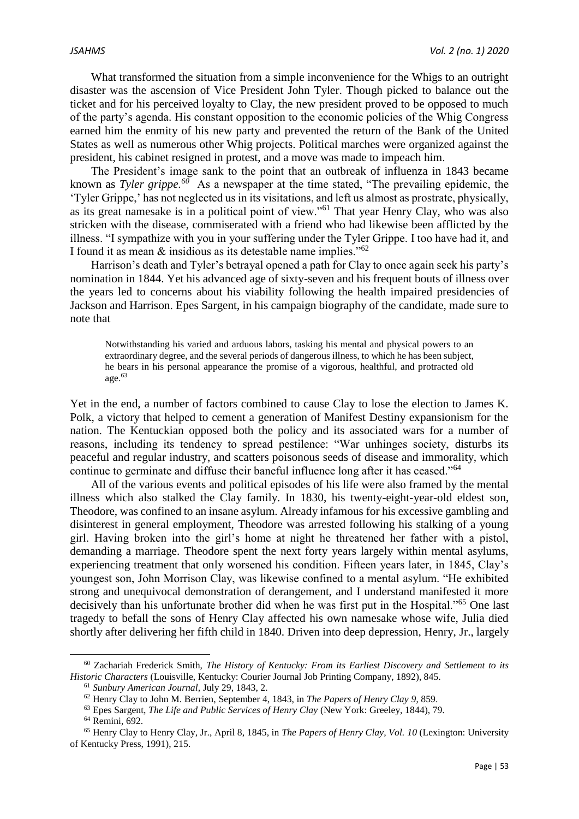What transformed the situation from a simple inconvenience for the Whigs to an outright disaster was the ascension of Vice President John Tyler. Though picked to balance out the ticket and for his perceived loyalty to Clay, the new president proved to be opposed to much of the party's agenda. His constant opposition to the economic policies of the Whig Congress earned him the enmity of his new party and prevented the return of the Bank of the United States as well as numerous other Whig projects. Political marches were organized against the president, his cabinet resigned in protest, and a move was made to impeach him.

The President's image sank to the point that an outbreak of influenza in 1843 became known as *Tyler grippe.*<sup>60</sup> As a newspaper at the time stated, "The prevailing epidemic, the 'Tyler Grippe,' has not neglected us in its visitations, and left us almost as prostrate, physically, as its great namesake is in a political point of view."<sup>61</sup> That year Henry Clay, who was also stricken with the disease, commiserated with a friend who had likewise been afflicted by the illness. "I sympathize with you in your suffering under the Tyler Grippe. I too have had it, and I found it as mean & insidious as its detestable name implies."<sup>62</sup>

Harrison's death and Tyler's betrayal opened a path for Clay to once again seek his party's nomination in 1844. Yet his advanced age of sixty-seven and his frequent bouts of illness over the years led to concerns about his viability following the health impaired presidencies of Jackson and Harrison. Epes Sargent, in his campaign biography of the candidate, made sure to note that

Notwithstanding his varied and arduous labors, tasking his mental and physical powers to an extraordinary degree, and the several periods of dangerous illness, to which he has been subject, he bears in his personal appearance the promise of a vigorous, healthful, and protracted old age.<sup>63</sup>

Yet in the end, a number of factors combined to cause Clay to lose the election to James K. Polk, a victory that helped to cement a generation of Manifest Destiny expansionism for the nation. The Kentuckian opposed both the policy and its associated wars for a number of reasons, including its tendency to spread pestilence: "War unhinges society, disturbs its peaceful and regular industry, and scatters poisonous seeds of disease and immorality, which continue to germinate and diffuse their baneful influence long after it has ceased."<sup>64</sup>

All of the various events and political episodes of his life were also framed by the mental illness which also stalked the Clay family. In 1830, his twenty-eight-year-old eldest son, Theodore, was confined to an insane asylum. Already infamous for his excessive gambling and disinterest in general employment, Theodore was arrested following his stalking of a young girl. Having broken into the girl's home at night he threatened her father with a pistol, demanding a marriage. Theodore spent the next forty years largely within mental asylums, experiencing treatment that only worsened his condition. Fifteen years later, in 1845, Clay's youngest son, John Morrison Clay, was likewise confined to a mental asylum. "He exhibited strong and unequivocal demonstration of derangement, and I understand manifested it more decisively than his unfortunate brother did when he was first put in the Hospital."<sup>65</sup> One last tragedy to befall the sons of Henry Clay affected his own namesake whose wife, Julia died shortly after delivering her fifth child in 1840. Driven into deep depression, Henry, Jr., largely

1

<sup>60</sup> Zachariah Frederick Smith, *The History of Kentucky: From its Earliest Discovery and Settlement to its Historic Characters* (Louisville, Kentucky: Courier Journal Job Printing Company, 1892), 845.

<sup>61</sup> *Sunbury American Journal,* July 29, 1843, 2.

<sup>62</sup> Henry Clay to John M. Berrien, September 4, 1843, in *The Papers of Henry Clay 9*, 859.

<sup>63</sup> Epes Sargent, *The Life and Public Services of Henry Clay* (New York: Greeley, 1844), 79. <sup>64</sup> Remini, 692.

<sup>65</sup> Henry Clay to Henry Clay, Jr., April 8, 1845, in *The Papers of Henry Clay, Vol. 10* (Lexington: University of Kentucky Press, 1991), 215.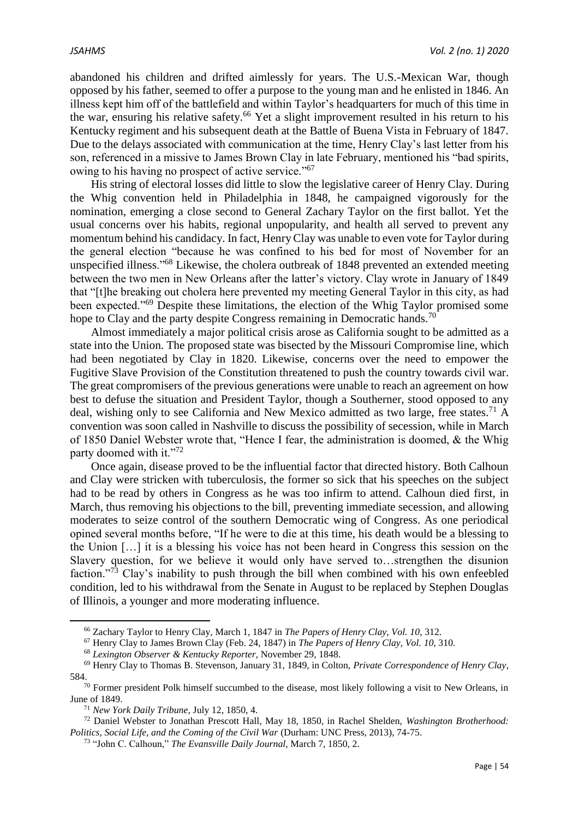abandoned his children and drifted aimlessly for years. The U.S.-Mexican War, though opposed by his father, seemed to offer a purpose to the young man and he enlisted in 1846. An illness kept him off of the battlefield and within Taylor's headquarters for much of this time in the war, ensuring his relative safety.<sup>66</sup> Yet a slight improvement resulted in his return to his Kentucky regiment and his subsequent death at the Battle of Buena Vista in February of 1847. Due to the delays associated with communication at the time, Henry Clay's last letter from his son, referenced in a missive to James Brown Clay in late February, mentioned his "bad spirits, owing to his having no prospect of active service."<sup>67</sup>

His string of electoral losses did little to slow the legislative career of Henry Clay. During the Whig convention held in Philadelphia in 1848, he campaigned vigorously for the nomination, emerging a close second to General Zachary Taylor on the first ballot. Yet the usual concerns over his habits, regional unpopularity, and health all served to prevent any momentum behind his candidacy. In fact, Henry Clay was unable to even vote for Taylor during the general election "because he was confined to his bed for most of November for an unspecified illness."<sup>68</sup> Likewise, the cholera outbreak of 1848 prevented an extended meeting between the two men in New Orleans after the latter's victory. Clay wrote in January of 1849 that "[t]he breaking out cholera here prevented my meeting General Taylor in this city, as had been expected."<sup>69</sup> Despite these limitations, the election of the Whig Taylor promised some hope to Clay and the party despite Congress remaining in Democratic hands.<sup>70</sup>

Almost immediately a major political crisis arose as California sought to be admitted as a state into the Union. The proposed state was bisected by the Missouri Compromise line, which had been negotiated by Clay in 1820. Likewise, concerns over the need to empower the Fugitive Slave Provision of the Constitution threatened to push the country towards civil war. The great compromisers of the previous generations were unable to reach an agreement on how best to defuse the situation and President Taylor, though a Southerner, stood opposed to any deal, wishing only to see California and New Mexico admitted as two large, free states.<sup>71</sup> A convention was soon called in Nashville to discuss the possibility of secession, while in March of 1850 Daniel Webster wrote that, "Hence I fear, the administration is doomed, & the Whig party doomed with it."72

Once again, disease proved to be the influential factor that directed history. Both Calhoun and Clay were stricken with tuberculosis, the former so sick that his speeches on the subject had to be read by others in Congress as he was too infirm to attend. Calhoun died first, in March, thus removing his objections to the bill, preventing immediate secession, and allowing moderates to seize control of the southern Democratic wing of Congress. As one periodical opined several months before, "If he were to die at this time, his death would be a blessing to the Union […] it is a blessing his voice has not been heard in Congress this session on the Slavery question, for we believe it would only have served to…strengthen the disunion faction."<sup>73</sup> Clay's inability to push through the bill when combined with his own enfeebled condition, led to his withdrawal from the Senate in August to be replaced by Stephen Douglas of Illinois, a younger and more moderating influence.

1

<sup>66</sup> Zachary Taylor to Henry Clay, March 1, 1847 in *The Papers of Henry Clay, Vol. 10*, 312.

<sup>67</sup> Henry Clay to James Brown Clay (Feb. 24, 1847) in *The Papers of Henry Clay, Vol. 10*, 310.

<sup>68</sup> *Lexington Observer & Kentucky Reporter,* November 29, 1848.

<sup>69</sup> Henry Clay to Thomas B. Stevenson, January 31, 1849, in Colton, *Private Correspondence of Henry Clay*, 584.

<sup>&</sup>lt;sup>70</sup> Former president Polk himself succumbed to the disease, most likely following a visit to New Orleans, in June of 1849.

<sup>71</sup> *New York Daily Tribune,* July 12, 1850, 4.

<sup>72</sup> Daniel Webster to Jonathan Prescott Hall, May 18, 1850, in Rachel Shelden, *Washington Brotherhood: Politics, Social Life, and the Coming of the Civil War* (Durham: UNC Press, 2013), 74-75.

<sup>73</sup> "John C. Calhoun," *The Evansville Daily Journal,* March 7, 1850, 2.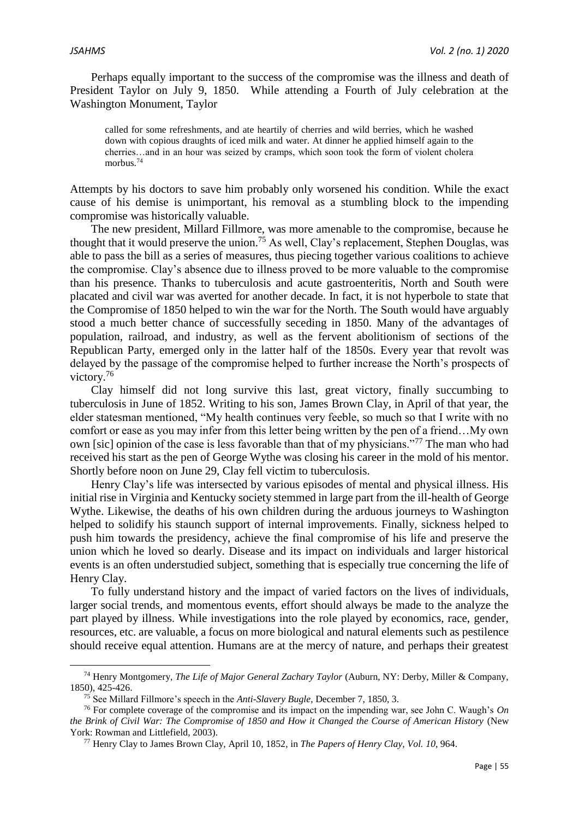Perhaps equally important to the success of the compromise was the illness and death of President Taylor on July 9, 1850. While attending a Fourth of July celebration at the Washington Monument, Taylor

called for some refreshments, and ate heartily of cherries and wild berries, which he washed down with copious draughts of iced milk and water. At dinner he applied himself again to the cherries…and in an hour was seized by cramps, which soon took the form of violent cholera morbus.<sup>74</sup>

Attempts by his doctors to save him probably only worsened his condition. While the exact cause of his demise is unimportant, his removal as a stumbling block to the impending compromise was historically valuable.

The new president, Millard Fillmore, was more amenable to the compromise, because he thought that it would preserve the union.<sup>75</sup> As well, Clay's replacement, Stephen Douglas, was able to pass the bill as a series of measures, thus piecing together various coalitions to achieve the compromise. Clay's absence due to illness proved to be more valuable to the compromise than his presence. Thanks to tuberculosis and acute gastroenteritis, North and South were placated and civil war was averted for another decade. In fact, it is not hyperbole to state that the Compromise of 1850 helped to win the war for the North. The South would have arguably stood a much better chance of successfully seceding in 1850. Many of the advantages of population, railroad, and industry, as well as the fervent abolitionism of sections of the Republican Party, emerged only in the latter half of the 1850s. Every year that revolt was delayed by the passage of the compromise helped to further increase the North's prospects of victory.<sup>76</sup>

Clay himself did not long survive this last, great victory, finally succumbing to tuberculosis in June of 1852. Writing to his son, James Brown Clay, in April of that year, the elder statesman mentioned, "My health continues very feeble, so much so that I write with no comfort or ease as you may infer from this letter being written by the pen of a friend…My own own [sic] opinion of the case is less favorable than that of my physicians."<sup>77</sup> The man who had received his start as the pen of George Wythe was closing his career in the mold of his mentor. Shortly before noon on June 29, Clay fell victim to tuberculosis.

Henry Clay's life was intersected by various episodes of mental and physical illness. His initial rise in Virginia and Kentucky society stemmed in large part from the ill-health of George Wythe. Likewise, the deaths of his own children during the arduous journeys to Washington helped to solidify his staunch support of internal improvements. Finally, sickness helped to push him towards the presidency, achieve the final compromise of his life and preserve the union which he loved so dearly. Disease and its impact on individuals and larger historical events is an often understudied subject, something that is especially true concerning the life of Henry Clay.

To fully understand history and the impact of varied factors on the lives of individuals, larger social trends, and momentous events, effort should always be made to the analyze the part played by illness. While investigations into the role played by economics, race, gender, resources, etc. are valuable, a focus on more biological and natural elements such as pestilence should receive equal attention. Humans are at the mercy of nature, and perhaps their greatest

<sup>74</sup> Henry Montgomery, *The Life of Major General Zachary Taylor* (Auburn, NY: Derby, Miller & Company, 1850), 425-426.

<sup>75</sup> See Millard Fillmore's speech in the *Anti-Slavery Bugle*, December 7, 1850, 3.

<sup>76</sup> For complete coverage of the compromise and its impact on the impending war, see John C. Waugh's *On the Brink of Civil War: The Compromise of 1850 and How it Changed the Course of American History* (New York: Rowman and Littlefield, 2003).

<sup>77</sup> Henry Clay to James Brown Clay, April 10, 1852, in *The Papers of Henry Clay, Vol. 10*, 964.